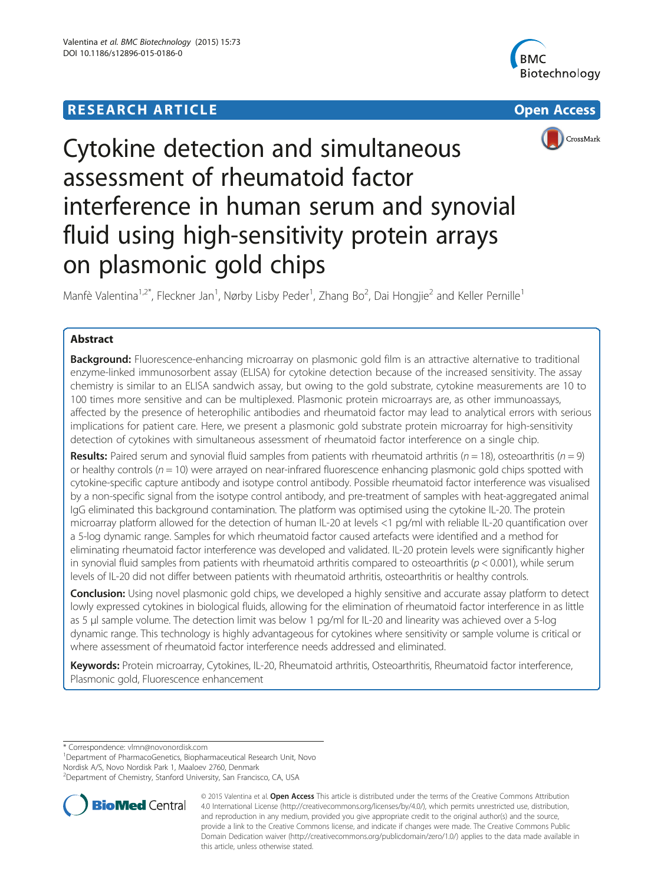# **RESEARCH ARTICLE Example 2008 Open Access**





# Cytokine detection and simultaneous assessment of rheumatoid factor interference in human serum and synovial fluid using high-sensitivity protein arrays on plasmonic gold chips

Manfè Valentina<sup>1,2\*</sup>, Fleckner Jan<sup>1</sup>, Nørby Lisby Peder<sup>1</sup>, Zhang Bo<sup>2</sup>, Dai Hongjie<sup>2</sup> and Keller Pernille<sup>1</sup>

# Abstract

**Background:** Fluorescence-enhancing microarray on plasmonic gold film is an attractive alternative to traditional enzyme-linked immunosorbent assay (ELISA) for cytokine detection because of the increased sensitivity. The assay chemistry is similar to an ELISA sandwich assay, but owing to the gold substrate, cytokine measurements are 10 to 100 times more sensitive and can be multiplexed. Plasmonic protein microarrays are, as other immunoassays, affected by the presence of heterophilic antibodies and rheumatoid factor may lead to analytical errors with serious implications for patient care. Here, we present a plasmonic gold substrate protein microarray for high-sensitivity detection of cytokines with simultaneous assessment of rheumatoid factor interference on a single chip.

**Results:** Paired serum and synovial fluid samples from patients with rheumatoid arthritis ( $n = 18$ ), osteoarthritis ( $n = 9$ ) or healthy controls ( $n = 10$ ) were arrayed on near-infrared fluorescence enhancing plasmonic gold chips spotted with cytokine-specific capture antibody and isotype control antibody. Possible rheumatoid factor interference was visualised by a non-specific signal from the isotype control antibody, and pre-treatment of samples with heat-aggregated animal IgG eliminated this background contamination. The platform was optimised using the cytokine IL-20. The protein microarray platform allowed for the detection of human IL-20 at levels <1 pg/ml with reliable IL-20 quantification over a 5-log dynamic range. Samples for which rheumatoid factor caused artefacts were identified and a method for eliminating rheumatoid factor interference was developed and validated. IL-20 protein levels were significantly higher in synovial fluid samples from patients with rheumatoid arthritis compared to osteoarthritis ( $p < 0.001$ ), while serum levels of IL-20 did not differ between patients with rheumatoid arthritis, osteoarthritis or healthy controls.

Conclusion: Using novel plasmonic gold chips, we developed a highly sensitive and accurate assay platform to detect lowly expressed cytokines in biological fluids, allowing for the elimination of rheumatoid factor interference in as little as 5 μl sample volume. The detection limit was below 1 pg/ml for IL-20 and linearity was achieved over a 5-log dynamic range. This technology is highly advantageous for cytokines where sensitivity or sample volume is critical or where assessment of rheumatoid factor interference needs addressed and eliminated.

Keywords: Protein microarray, Cytokines, IL-20, Rheumatoid arthritis, Osteoarthritis, Rheumatoid factor interference, Plasmonic gold, Fluorescence enhancement

\* Correspondence: [vlmn@novonordisk.com](mailto:vlmn@novonordisk.com) <sup>1</sup>

<sup>1</sup>Department of PharmacoGenetics, Biopharmaceutical Research Unit, Novo

Nordisk A/S, Novo Nordisk Park 1, Maaloev 2760, Denmark

<sup>&</sup>lt;sup>2</sup>Department of Chemistry, Stanford University, San Francisco, CA, USA



© 2015 Valentina et al. Open Access This article is distributed under the terms of the Creative Commons Attribution 4.0 International License [\(http://creativecommons.org/licenses/by/4.0/\)](http://creativecommons.org/licenses/by/4.0/), which permits unrestricted use, distribution, and reproduction in any medium, provided you give appropriate credit to the original author(s) and the source, provide a link to the Creative Commons license, and indicate if changes were made. The Creative Commons Public Domain Dedication waiver ([http://creativecommons.org/publicdomain/zero/1.0/\)](http://creativecommons.org/publicdomain/zero/1.0/) applies to the data made available in this article, unless otherwise stated.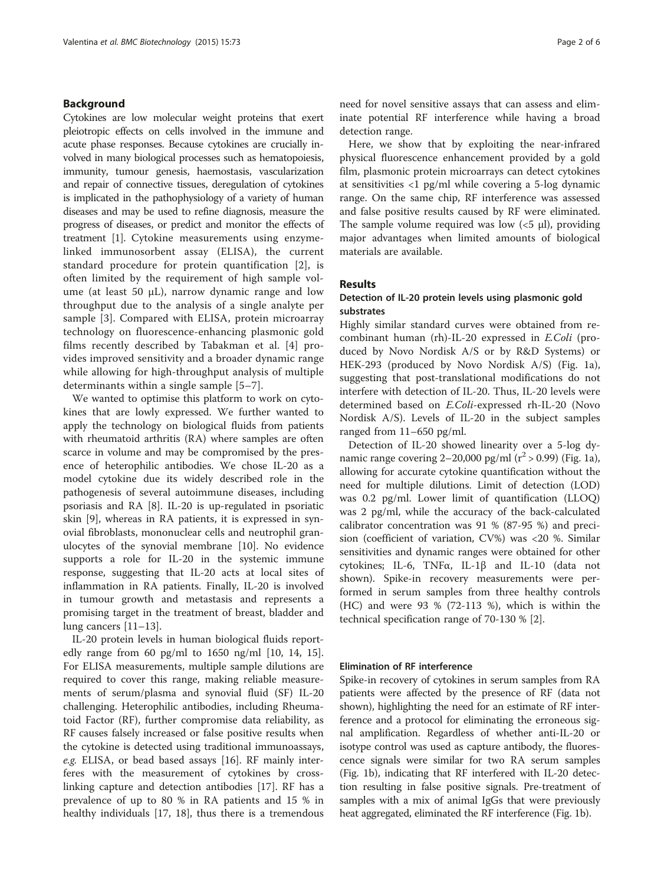#### Background

Cytokines are low molecular weight proteins that exert pleiotropic effects on cells involved in the immune and acute phase responses. Because cytokines are crucially involved in many biological processes such as hematopoiesis, immunity, tumour genesis, haemostasis, vascularization and repair of connective tissues, deregulation of cytokines is implicated in the pathophysiology of a variety of human diseases and may be used to refine diagnosis, measure the progress of diseases, or predict and monitor the effects of treatment [\[1\]](#page-5-0). Cytokine measurements using enzymelinked immunosorbent assay (ELISA), the current standard procedure for protein quantification [[2\]](#page-5-0), is often limited by the requirement of high sample volume (at least 50  $\mu$ L), narrow dynamic range and low throughput due to the analysis of a single analyte per sample [[3](#page-5-0)]. Compared with ELISA, protein microarray technology on fluorescence-enhancing plasmonic gold films recently described by Tabakman et al. [\[4](#page-5-0)] provides improved sensitivity and a broader dynamic range while allowing for high-throughput analysis of multiple determinants within a single sample [[5](#page-5-0)–[7\]](#page-5-0).

We wanted to optimise this platform to work on cytokines that are lowly expressed. We further wanted to apply the technology on biological fluids from patients with rheumatoid arthritis (RA) where samples are often scarce in volume and may be compromised by the presence of heterophilic antibodies. We chose IL-20 as a model cytokine due its widely described role in the pathogenesis of several autoimmune diseases, including psoriasis and RA [[8\]](#page-5-0). IL-20 is up-regulated in psoriatic skin [\[9](#page-5-0)], whereas in RA patients, it is expressed in synovial fibroblasts, mononuclear cells and neutrophil granulocytes of the synovial membrane [[10\]](#page-5-0). No evidence supports a role for IL-20 in the systemic immune response, suggesting that IL-20 acts at local sites of inflammation in RA patients. Finally, IL-20 is involved in tumour growth and metastasis and represents a promising target in the treatment of breast, bladder and lung cancers [\[11](#page-5-0)–[13\]](#page-5-0).

IL-20 protein levels in human biological fluids reportedly range from 60 pg/ml to 1650 ng/ml [\[10](#page-5-0), [14, 15](#page-5-0)]. For ELISA measurements, multiple sample dilutions are required to cover this range, making reliable measurements of serum/plasma and synovial fluid (SF) IL-20 challenging. Heterophilic antibodies, including Rheumatoid Factor (RF), further compromise data reliability, as RF causes falsely increased or false positive results when the cytokine is detected using traditional immunoassays, e.g. ELISA, or bead based assays [[16](#page-5-0)]. RF mainly interferes with the measurement of cytokines by crosslinking capture and detection antibodies [[17\]](#page-5-0). RF has a prevalence of up to 80 % in RA patients and 15 % in healthy individuals [[17](#page-5-0), [18](#page-5-0)], thus there is a tremendous

need for novel sensitive assays that can assess and eliminate potential RF interference while having a broad detection range.

Here, we show that by exploiting the near-infrared physical fluorescence enhancement provided by a gold film, plasmonic protein microarrays can detect cytokines at sensitivities <1 pg/ml while covering a 5-log dynamic range. On the same chip, RF interference was assessed and false positive results caused by RF were eliminated. The sample volume required was low  $(<5 \mu l$ ), providing major advantages when limited amounts of biological materials are available.

# Results

# Detection of IL-20 protein levels using plasmonic gold substrates

Highly similar standard curves were obtained from recombinant human (rh)-IL-20 expressed in E.Coli (produced by Novo Nordisk A/S or by R&D Systems) or HEK-293 (produced by Novo Nordisk A/S) (Fig. [1a](#page-2-0)), suggesting that post-translational modifications do not interfere with detection of IL-20. Thus, IL-20 levels were determined based on E.Coli-expressed rh-IL-20 (Novo Nordisk A/S). Levels of IL-20 in the subject samples ranged from 11–650 pg/ml.

Detection of IL-20 showed linearity over a 5-log dynamic range covering 2–20,000 pg/ml ( $r^2$  > 0.99) (Fig. [1a](#page-2-0)), allowing for accurate cytokine quantification without the need for multiple dilutions. Limit of detection (LOD) was 0.2 pg/ml. Lower limit of quantification (LLOQ) was 2 pg/ml, while the accuracy of the back-calculated calibrator concentration was 91 % (87-95 %) and precision (coefficient of variation, CV%) was <20 %. Similar sensitivities and dynamic ranges were obtained for other cytokines; IL-6, TNFα, IL-1β and IL-10 (data not shown). Spike-in recovery measurements were performed in serum samples from three healthy controls (HC) and were 93 % (72-113 %), which is within the technical specification range of 70-130 % [[2\]](#page-5-0).

# Elimination of RF interference

Spike-in recovery of cytokines in serum samples from RA patients were affected by the presence of RF (data not shown), highlighting the need for an estimate of RF interference and a protocol for eliminating the erroneous signal amplification. Regardless of whether anti-IL-20 or isotype control was used as capture antibody, the fluorescence signals were similar for two RA serum samples (Fig. [1b\)](#page-2-0), indicating that RF interfered with IL-20 detection resulting in false positive signals. Pre-treatment of samples with a mix of animal IgGs that were previously heat aggregated, eliminated the RF interference (Fig. [1b](#page-2-0)).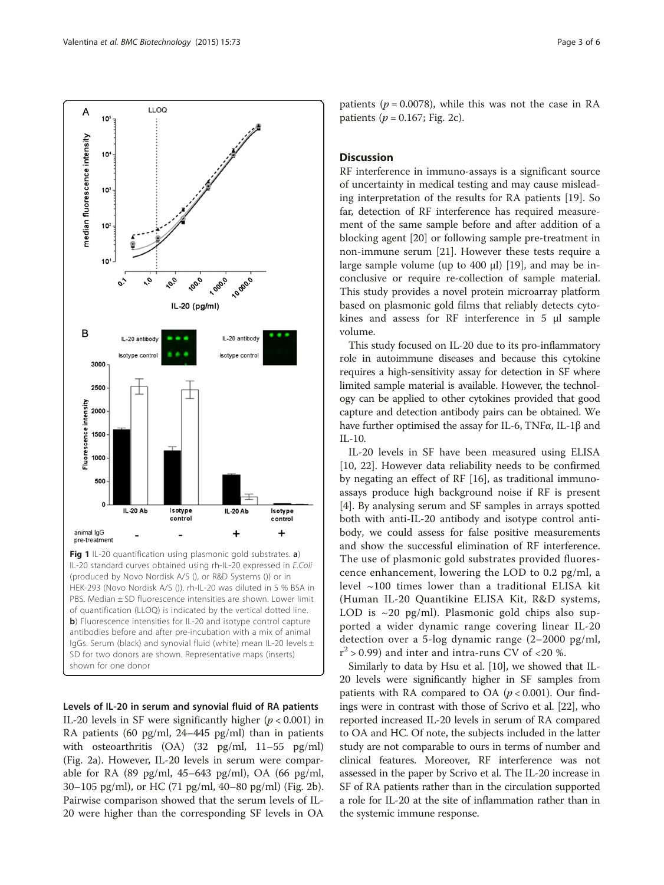<span id="page-2-0"></span>

Fig 1 IL-20 quantification using plasmonic gold substrates. a) IL-20 standard curves obtained using rh-IL-20 expressed in E.Coli (produced by Novo Nordisk A/S (), or R&D Systems ()) or in HEK-293 (Novo Nordisk A/S ()). rh-IL-20 was diluted in 5 % BSA in PBS. Median ± SD fluorescence intensities are shown. Lower limit of quantification (LLOQ) is indicated by the vertical dotted line. b) Fluorescence intensities for IL-20 and isotype control capture antibodies before and after pre-incubation with a mix of animal IgGs. Serum (black) and synovial fluid (white) mean IL-20 levels ± SD for two donors are shown. Representative maps (inserts) shown for one donor

Levels of IL-20 in serum and synovial fluid of RA patients IL-20 levels in SF were significantly higher ( $p < 0.001$ ) in RA patients (60 pg/ml, 24–445 pg/ml) than in patients with osteoarthritis (OA) (32 pg/ml, 11–55 pg/ml) (Fig. [2a\)](#page-3-0). However, IL-20 levels in serum were comparable for RA (89 pg/ml, 45–643 pg/ml), OA (66 pg/ml, 30–105 pg/ml), or HC (71 pg/ml, 40–80 pg/ml) (Fig. [2b](#page-3-0)). Pairwise comparison showed that the serum levels of IL-20 were higher than the corresponding SF levels in OA

patients ( $p = 0.0078$ ), while this was not the case in RA patients ( $p = 0.167$ ; Fig. [2c](#page-3-0)).

# Discussion

RF interference in immuno-assays is a significant source of uncertainty in medical testing and may cause misleading interpretation of the results for RA patients [[19\]](#page-5-0). So far, detection of RF interference has required measurement of the same sample before and after addition of a blocking agent [[20\]](#page-5-0) or following sample pre-treatment in non-immune serum [[21](#page-5-0)]. However these tests require a large sample volume (up to 400 μl) [\[19\]](#page-5-0), and may be inconclusive or require re-collection of sample material. This study provides a novel protein microarray platform based on plasmonic gold films that reliably detects cytokines and assess for RF interference in 5 μl sample volume.

This study focused on IL-20 due to its pro-inflammatory role in autoimmune diseases and because this cytokine requires a high-sensitivity assay for detection in SF where limited sample material is available. However, the technology can be applied to other cytokines provided that good capture and detection antibody pairs can be obtained. We have further optimised the assay for IL-6, TNFα, IL-1β and IL-10.

IL-20 levels in SF have been measured using ELISA [[10, 22](#page-5-0)]. However data reliability needs to be confirmed by negating an effect of RF [\[16\]](#page-5-0), as traditional immunoassays produce high background noise if RF is present [[4\]](#page-5-0). By analysing serum and SF samples in arrays spotted both with anti-IL-20 antibody and isotype control antibody, we could assess for false positive measurements and show the successful elimination of RF interference. The use of plasmonic gold substrates provided fluorescence enhancement, lowering the LOD to 0.2 pg/ml, a level ~100 times lower than a traditional ELISA kit (Human IL-20 Quantikine ELISA Kit, R&D systems, LOD is  $\sim$ 20 pg/ml). Plasmonic gold chips also supported a wider dynamic range covering linear IL-20 detection over a 5-log dynamic range (2–2000 pg/ml,  $r^2$  > 0.99) and inter and intra-runs CV of <20 %.

Similarly to data by Hsu et al. [\[10\]](#page-5-0), we showed that IL-20 levels were significantly higher in SF samples from patients with RA compared to OA ( $p < 0.001$ ). Our findings were in contrast with those of Scrivo et al. [\[22](#page-5-0)], who reported increased IL-20 levels in serum of RA compared to OA and HC. Of note, the subjects included in the latter study are not comparable to ours in terms of number and clinical features. Moreover, RF interference was not assessed in the paper by Scrivo et al. The IL-20 increase in SF of RA patients rather than in the circulation supported a role for IL-20 at the site of inflammation rather than in the systemic immune response.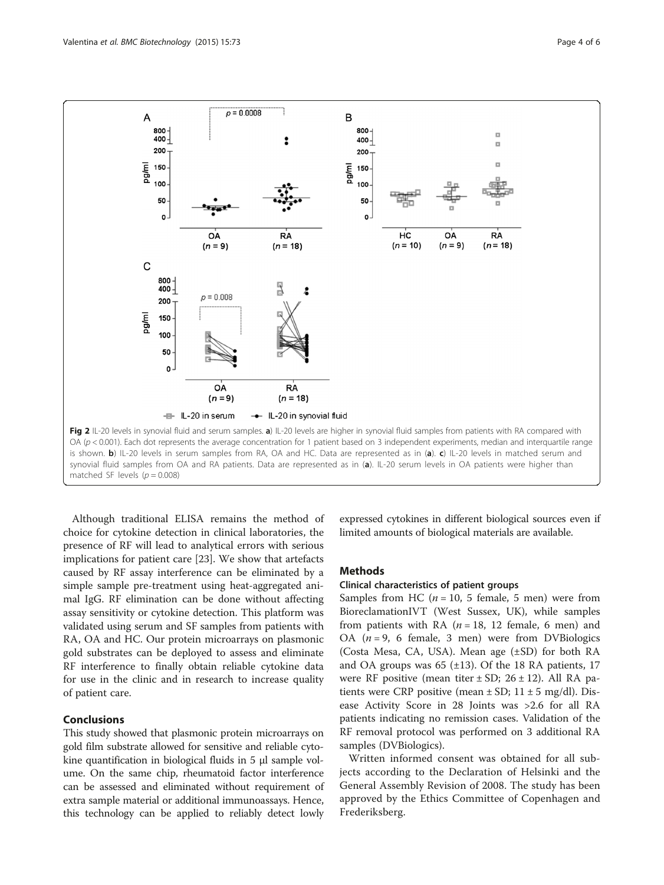<span id="page-3-0"></span>

Although traditional ELISA remains the method of choice for cytokine detection in clinical laboratories, the presence of RF will lead to analytical errors with serious implications for patient care [\[23\]](#page-5-0). We show that artefacts caused by RF assay interference can be eliminated by a simple sample pre-treatment using heat-aggregated animal IgG. RF elimination can be done without affecting assay sensitivity or cytokine detection. This platform was validated using serum and SF samples from patients with RA, OA and HC. Our protein microarrays on plasmonic gold substrates can be deployed to assess and eliminate RF interference to finally obtain reliable cytokine data for use in the clinic and in research to increase quality of patient care.

# **Conclusions**

This study showed that plasmonic protein microarrays on gold film substrate allowed for sensitive and reliable cytokine quantification in biological fluids in 5 μl sample volume. On the same chip, rheumatoid factor interference can be assessed and eliminated without requirement of extra sample material or additional immunoassays. Hence, this technology can be applied to reliably detect lowly

expressed cytokines in different biological sources even if limited amounts of biological materials are available.

## Methods

# Clinical characteristics of patient groups

Samples from HC ( $n = 10$ , 5 female, 5 men) were from BioreclamationIVT (West Sussex, UK), while samples from patients with RA  $(n = 18, 12$  female, 6 men) and OA  $(n = 9, 6$  female, 3 men) were from DVBiologics (Costa Mesa, CA, USA). Mean age (±SD) for both RA and OA groups was  $65$  ( $\pm$ 13). Of the 18 RA patients, 17 were RF positive (mean titer  $\pm$  SD; 26  $\pm$  12). All RA patients were CRP positive (mean  $\pm$  SD; 11  $\pm$  5 mg/dl). Disease Activity Score in 28 Joints was >2.6 for all RA patients indicating no remission cases. Validation of the RF removal protocol was performed on 3 additional RA samples (DVBiologics).

Written informed consent was obtained for all subjects according to the Declaration of Helsinki and the General Assembly Revision of 2008. The study has been approved by the Ethics Committee of Copenhagen and Frederiksberg.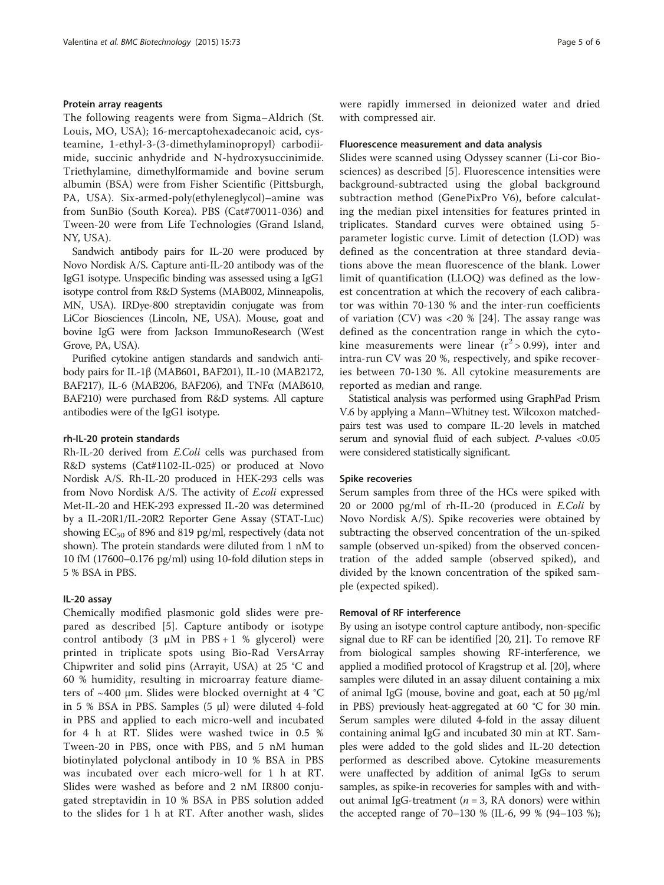#### Protein array reagents

The following reagents were from Sigma–Aldrich (St. Louis, MO, USA); 16-mercaptohexadecanoic acid, cysteamine, 1-ethyl-3-(3-dimethylaminopropyl) carbodiimide, succinic anhydride and N-hydroxysuccinimide. Triethylamine, dimethylformamide and bovine serum albumin (BSA) were from Fisher Scientific (Pittsburgh, PA, USA). Six-armed-poly(ethyleneglycol)–amine was from SunBio (South Korea). PBS (Cat#70011-036) and Tween-20 were from Life Technologies (Grand Island, NY, USA).

Sandwich antibody pairs for IL-20 were produced by Novo Nordisk A/S. Capture anti-IL-20 antibody was of the IgG1 isotype. Unspecific binding was assessed using a IgG1 isotype control from R&D Systems (MAB002, Minneapolis, MN, USA). IRDye-800 streptavidin conjugate was from LiCor Biosciences (Lincoln, NE, USA). Mouse, goat and bovine IgG were from Jackson ImmunoResearch (West Grove, PA, USA).

Purified cytokine antigen standards and sandwich antibody pairs for IL-1β (MAB601, BAF201), IL-10 (MAB2172, BAF217), IL-6 (MAB206, BAF206), and TNFα (MAB610, BAF210) were purchased from R&D systems. All capture antibodies were of the IgG1 isotype.

#### rh-IL-20 protein standards

Rh-IL-20 derived from E.Coli cells was purchased from R&D systems (Cat#1102-IL-025) or produced at Novo Nordisk A/S. Rh-IL-20 produced in HEK-293 cells was from Novo Nordisk A/S. The activity of E.coli expressed Met-IL-20 and HEK-293 expressed IL-20 was determined by a IL-20R1/IL-20R2 Reporter Gene Assay (STAT-Luc) showing  $EC_{50}$  of 896 and 819 pg/ml, respectively (data not shown). The protein standards were diluted from 1 nM to 10 fM (17600–0.176 pg/ml) using 10-fold dilution steps in 5 % BSA in PBS.

# IL-20 assay

Chemically modified plasmonic gold slides were prepared as described [[5\]](#page-5-0). Capture antibody or isotype control antibody (3  $\mu$ M in PBS + 1 % glycerol) were printed in triplicate spots using Bio-Rad VersArray Chipwriter and solid pins (Arrayit, USA) at 25 °C and 60 % humidity, resulting in microarray feature diameters of  $\sim$ 400 µm. Slides were blocked overnight at 4 °C in 5 % BSA in PBS. Samples (5 μl) were diluted 4-fold in PBS and applied to each micro-well and incubated for 4 h at RT. Slides were washed twice in 0.5 % Tween-20 in PBS, once with PBS, and 5 nM human biotinylated polyclonal antibody in 10 % BSA in PBS was incubated over each micro-well for 1 h at RT. Slides were washed as before and 2 nM IR800 conjugated streptavidin in 10 % BSA in PBS solution added to the slides for 1 h at RT. After another wash, slides were rapidly immersed in deionized water and dried with compressed air.

#### Fluorescence measurement and data analysis

Slides were scanned using Odyssey scanner (Li-cor Biosciences) as described [[5\]](#page-5-0). Fluorescence intensities were background-subtracted using the global background subtraction method (GenePixPro V6), before calculating the median pixel intensities for features printed in triplicates. Standard curves were obtained using 5 parameter logistic curve. Limit of detection (LOD) was defined as the concentration at three standard deviations above the mean fluorescence of the blank. Lower limit of quantification (LLOQ) was defined as the lowest concentration at which the recovery of each calibrator was within 70-130 % and the inter-run coefficients of variation  $(CV)$  was  $\langle 20 \rangle$  [[24\]](#page-5-0). The assay range was defined as the concentration range in which the cytokine measurements were linear  $(r^2 > 0.99)$ , inter and intra-run CV was 20 %, respectively, and spike recoveries between 70-130 %. All cytokine measurements are reported as median and range.

Statistical analysis was performed using GraphPad Prism V.6 by applying a Mann–Whitney test. Wilcoxon matchedpairs test was used to compare IL-20 levels in matched serum and synovial fluid of each subject. P-values <0.05 were considered statistically significant.

#### Spike recoveries

Serum samples from three of the HCs were spiked with 20 or 2000 pg/ml of rh-IL-20 (produced in E.Coli by Novo Nordisk A/S). Spike recoveries were obtained by subtracting the observed concentration of the un-spiked sample (observed un-spiked) from the observed concentration of the added sample (observed spiked), and divided by the known concentration of the spiked sample (expected spiked).

# Removal of RF interference

By using an isotype control capture antibody, non-specific signal due to RF can be identified [\[20, 21\]](#page-5-0). To remove RF from biological samples showing RF-interference, we applied a modified protocol of Kragstrup et al. [[20](#page-5-0)], where samples were diluted in an assay diluent containing a mix of animal IgG (mouse, bovine and goat, each at 50 μg/ml in PBS) previously heat-aggregated at 60 °C for 30 min. Serum samples were diluted 4-fold in the assay diluent containing animal IgG and incubated 30 min at RT. Samples were added to the gold slides and IL-20 detection performed as described above. Cytokine measurements were unaffected by addition of animal IgGs to serum samples, as spike-in recoveries for samples with and without animal IgG-treatment ( $n = 3$ , RA donors) were within the accepted range of 70–130 % (IL-6, 99 % (94–103 %);